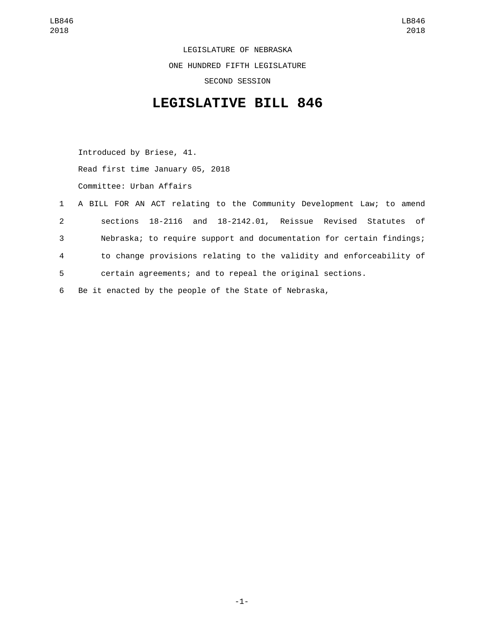LEGISLATURE OF NEBRASKA ONE HUNDRED FIFTH LEGISLATURE SECOND SESSION

## **LEGISLATIVE BILL 846**

Introduced by Briese, 41. Read first time January 05, 2018 Committee: Urban Affairs

|                | 1 A BILL FOR AN ACT relating to the Community Development Law; to amend |
|----------------|-------------------------------------------------------------------------|
| $\mathbf{2}$   | sections 18-2116 and 18-2142.01, Reissue Revised Statutes of            |
| 3              | Nebraska; to require support and documentation for certain findings;    |
| $\overline{4}$ | to change provisions relating to the validity and enforceability of     |
| 5              | certain agreements; and to repeal the original sections.                |
| 6              | Be it enacted by the people of the State of Nebraska,                   |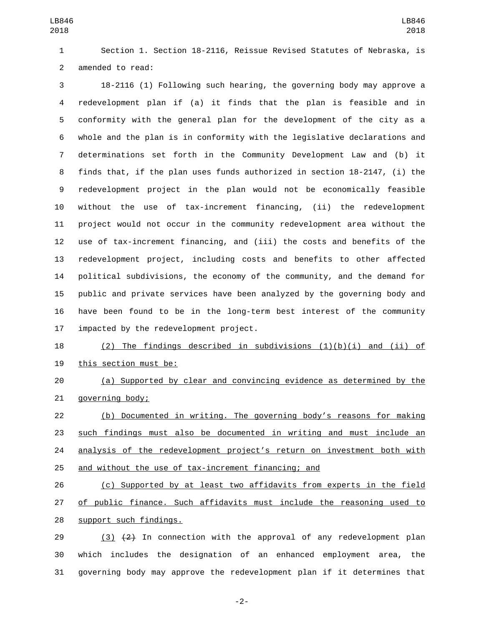Section 1. Section 18-2116, Reissue Revised Statutes of Nebraska, is 2 amended to read:

 18-2116 (1) Following such hearing, the governing body may approve a redevelopment plan if (a) it finds that the plan is feasible and in conformity with the general plan for the development of the city as a whole and the plan is in conformity with the legislative declarations and determinations set forth in the Community Development Law and (b) it finds that, if the plan uses funds authorized in section 18-2147, (i) the redevelopment project in the plan would not be economically feasible without the use of tax-increment financing, (ii) the redevelopment project would not occur in the community redevelopment area without the use of tax-increment financing, and (iii) the costs and benefits of the redevelopment project, including costs and benefits to other affected political subdivisions, the economy of the community, and the demand for public and private services have been analyzed by the governing body and have been found to be in the long-term best interest of the community 17 impacted by the redevelopment project.

 (2) The findings described in subdivisions (1)(b)(i) and (ii) of 19 this section must be:

 (a) Supported by clear and convincing evidence as determined by the 21 governing body;

 (b) Documented in writing. The governing body's reasons for making such findings must also be documented in writing and must include an 24 analysis of the redevelopment project's return on investment both with and without the use of tax-increment financing; and

 (c) Supported by at least two affidavits from experts in the field of public finance. Such affidavits must include the reasoning used to 28 support such findings.

29  $(3)$   $(2)$  In connection with the approval of any redevelopment plan which includes the designation of an enhanced employment area, the governing body may approve the redevelopment plan if it determines that

-2-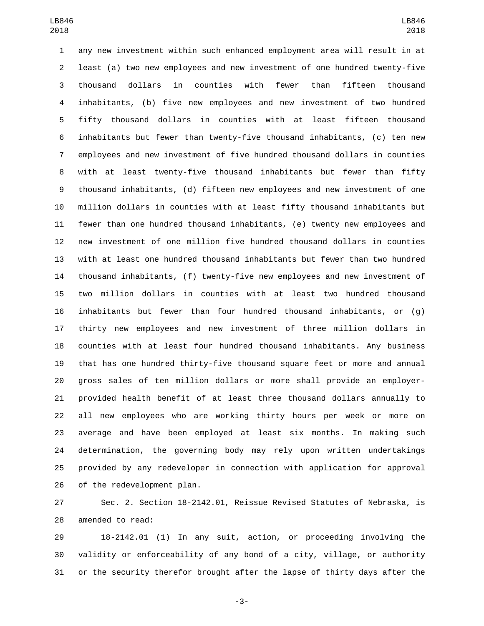any new investment within such enhanced employment area will result in at least (a) two new employees and new investment of one hundred twenty-five thousand dollars in counties with fewer than fifteen thousand inhabitants, (b) five new employees and new investment of two hundred fifty thousand dollars in counties with at least fifteen thousand inhabitants but fewer than twenty-five thousand inhabitants, (c) ten new employees and new investment of five hundred thousand dollars in counties with at least twenty-five thousand inhabitants but fewer than fifty thousand inhabitants, (d) fifteen new employees and new investment of one million dollars in counties with at least fifty thousand inhabitants but fewer than one hundred thousand inhabitants, (e) twenty new employees and new investment of one million five hundred thousand dollars in counties with at least one hundred thousand inhabitants but fewer than two hundred thousand inhabitants, (f) twenty-five new employees and new investment of two million dollars in counties with at least two hundred thousand inhabitants but fewer than four hundred thousand inhabitants, or (g) thirty new employees and new investment of three million dollars in counties with at least four hundred thousand inhabitants. Any business that has one hundred thirty-five thousand square feet or more and annual gross sales of ten million dollars or more shall provide an employer- provided health benefit of at least three thousand dollars annually to all new employees who are working thirty hours per week or more on average and have been employed at least six months. In making such determination, the governing body may rely upon written undertakings provided by any redeveloper in connection with application for approval 26 of the redevelopment plan.

 Sec. 2. Section 18-2142.01, Reissue Revised Statutes of Nebraska, is 28 amended to read:

 18-2142.01 (1) In any suit, action, or proceeding involving the validity or enforceability of any bond of a city, village, or authority or the security therefor brought after the lapse of thirty days after the

-3-